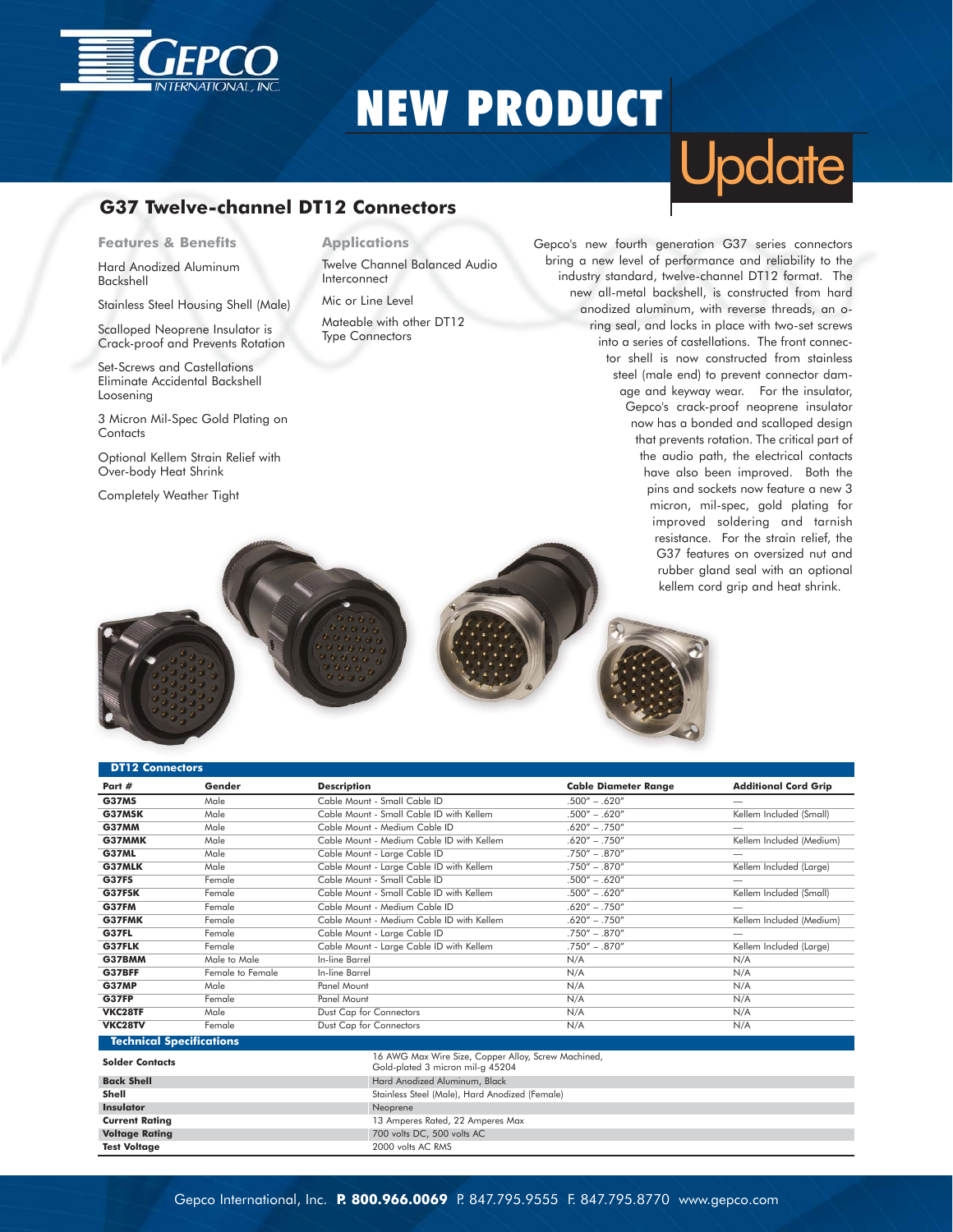

## NEW PRODUCT

### **G37 Twelve-channel DT12 Connectors**

**Features & Benefits**

Hard Anodized Aluminum Backshell

Stainless Steel Housing Shell (Male)

Scalloped Neoprene Insulator is Crack-proof and Prevents Rotation

Set-Screws and Castellations Eliminate Accidental Backshell Loosening

3 Micron Mil-Spec Gold Plating on **Contacts** 

Optional Kellem Strain Relief with Over-body Heat Shrink

Completely Weather Tight

**Applications**

Twelve Channel Balanced Audio Interconnect

Mic or Line Level

Mateable with other DT12 Type Connectors

# **Update**

Gepco's new fourth generation G37 series connectors bring a new level of performance and reliability to the industry standard, twelve-channel DT12 format. The new all-metal backshell, is constructed from hard anodized aluminum, with reverse threads, an oring seal, and locks in place with two-set screws into a series of castellations. The front connector shell is now constructed from stainless steel (male end) to prevent connector damage and keyway wear. For the insulator, Gepco's crack-proof neoprene insulator now has a bonded and scalloped design that prevents rotation. The critical part of the audio path, the electrical contacts have also been improved. Both the pins and sockets now feature a new 3 micron, mil-spec, gold plating for improved soldering and tarnish resistance. For the strain relief, the G37 features on oversized nut and rubber gland seal with an optional kellem cord grip and heat shrink.



**Current Rating Current Rating Current Rating 13 Amperes Rated, 22 Amperes Max Voltage Rating** 700 volts DC, 500 volts AC<br> **7651 Voltage 7651 Voltage 700 volts AC RMS** 



| <b>DT12 Connectors</b>          |                  |                                                                                         |                             |                             |
|---------------------------------|------------------|-----------------------------------------------------------------------------------------|-----------------------------|-----------------------------|
| Part #                          | Gender           | <b>Description</b>                                                                      | <b>Cable Diameter Range</b> | <b>Additional Cord Grip</b> |
| <b>G37MS</b>                    | Male             | Cable Mount - Small Cable ID                                                            | $.500'' - .620''$           | $\overline{\phantom{m}}$    |
| G37MSK                          | Male             | Cable Mount - Small Cable ID with Kellem                                                | $.500'' - .620''$           | Kellem Included (Small)     |
| <b>G37MM</b>                    | Male             | Cable Mount - Medium Cable ID                                                           | $.620'' - .750''$           |                             |
| G37MMK                          | Male             | Cable Mount - Medium Cable ID with Kellem                                               | $.620'' - .750''$           | Kellem Included (Medium)    |
| <b>G37ML</b>                    | Male             | Cable Mount - Large Cable ID                                                            | $.750'' - .870''$           |                             |
| G37MLK                          | Male             | Cable Mount - Large Cable ID with Kellem                                                | $.750'' - .870''$           | Kellem Included (Large)     |
| <b>G37FS</b>                    | Female           | Cable Mount - Small Cable ID                                                            | $.500'' - .620''$           |                             |
| G37FSK                          | Female           | Cable Mount - Small Cable ID with Kellem                                                | $.500'' - .620''$           | Kellem Included (Small)     |
| G37FM                           | Female           | Cable Mount - Medium Cable ID                                                           | $.620'' - .750''$           |                             |
| G37FMK                          | Female           | Cable Mount - Medium Cable ID with Kellem                                               | $.620'' - .750''$           | Kellem Included (Medium)    |
| <b>G37FL</b>                    | Female           | Cable Mount - Large Cable ID                                                            | $.750'' - .870''$           | -                           |
| G37FLK                          | Female           | Cable Mount - Large Cable ID with Kellem                                                | $.750'' - .870''$           | Kellem Included (Larae)     |
| G37BMM                          | Male to Male     | In-line Barrel                                                                          | N/A                         | N/A                         |
| G37BFF                          | Female to Female | In-line Barrel                                                                          | N/A                         | N/A                         |
| <b>G37MP</b>                    | Male             | Panel Mount                                                                             | N/A                         | N/A                         |
| G37FP                           | Female           | Panel Mount                                                                             | N/A                         | N/A                         |
| VKC28TF                         | Male             | Dust Cap for Connectors                                                                 | N/A                         | N/A                         |
| VKC28TV                         | Female           | Dust Cap for Connectors                                                                 | N/A                         | N/A                         |
| <b>Technical Specifications</b> |                  |                                                                                         |                             |                             |
| <b>Solder Contacts</b>          |                  | 16 AWG Max Wire Size, Copper Alloy, Screw Machined,<br>Gold-plated 3 micron mil-g 45204 |                             |                             |
| <b>Back Shell</b>               |                  | Hard Anodized Aluminum, Black                                                           |                             |                             |
| Shell                           |                  | Stainless Steel (Male), Hard Anodized (Female)                                          |                             |                             |
| <b>Insulator</b>                |                  | Neoprene                                                                                |                             |                             |

2000 volts AC RMS